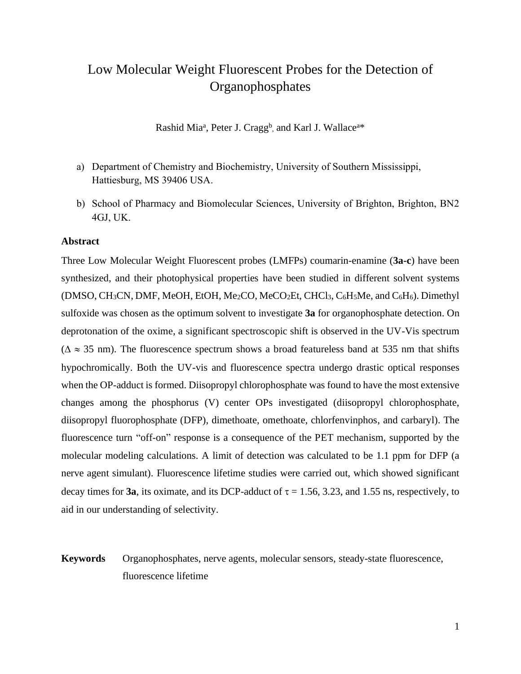# Low Molecular Weight Fluorescent Probes for the Detection of Organophosphates

Rashid Mia<sup>a</sup>, Peter J. Cragg<sup>b</sup>, and Karl J. Wallace<sup>a\*</sup>

- a) Department of Chemistry and Biochemistry, University of Southern Mississippi, Hattiesburg, MS 39406 USA.
- b) School of Pharmacy and Biomolecular Sciences, University of Brighton, Brighton, BN2 4GJ, UK.

## **Abstract**

Three Low Molecular Weight Fluorescent probes (LMFPs) coumarin-enamine (**3a-c**) have been synthesized, and their photophysical properties have been studied in different solvent systems (DMSO, CH3CN, DMF, MeOH, EtOH, Me2CO, MeCO2Et, CHCl3, C6H5Me, and C6H6). Dimethyl sulfoxide was chosen as the optimum solvent to investigate **3a** for organophosphate detection. On deprotonation of the oxime, a significant spectroscopic shift is observed in the UV-Vis spectrum ( $\Delta \approx 35$  nm). The fluorescence spectrum shows a broad featureless band at 535 nm that shifts hypochromically. Both the UV-vis and fluorescence spectra undergo drastic optical responses when the OP-adduct is formed. Diisopropyl chlorophosphate was found to have the most extensive changes among the phosphorus (V) center OPs investigated (diisopropyl chlorophosphate, diisopropyl fluorophosphate (DFP), dimethoate, omethoate, chlorfenvinphos, and carbaryl). The fluorescence turn "off-on" response is a consequence of the PET mechanism, supported by the molecular modeling calculations. A limit of detection was calculated to be 1.1 ppm for DFP (a nerve agent simulant). Fluorescence lifetime studies were carried out, which showed significant decay times for **3a**, its oximate, and its DCP-adduct of  $\tau = 1.56$ , 3.23, and 1.55 ns, respectively, to aid in our understanding of selectivity.

## **Keywords** Organophosphates, nerve agents, molecular sensors, steady-state fluorescence, fluorescence lifetime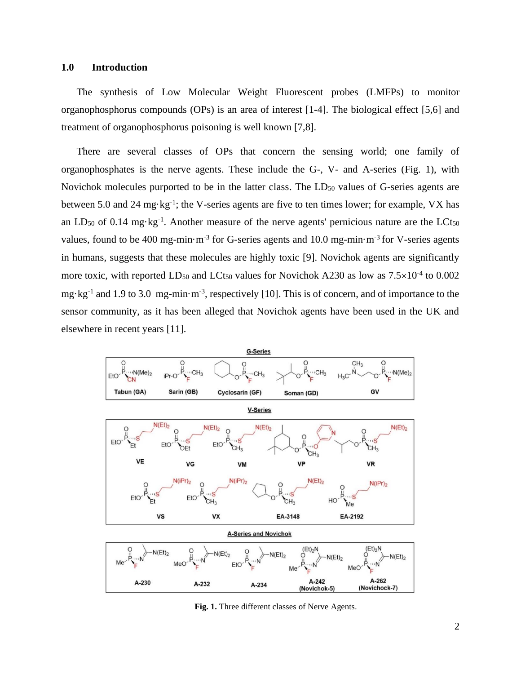#### **1.0 Introduction**

The synthesis of Low Molecular Weight Fluorescent probes (LMFPs) to monitor organophosphorus compounds (OPs) is an area of interest [1-4]. The biological effect [5,6] and treatment of organophosphorus poisoning is well known [7,8].

There are several classes of OPs that concern the sensing world; one family of organophosphates is the nerve agents. These include the G-, V- and A-series (Fig. 1), with Novichok molecules purported to be in the latter class. The LD<sub>50</sub> values of G-series agents are between 5.0 and 24 mg·kg<sup>-1</sup>; the V-series agents are five to ten times lower; for example, VX has an LD<sub>50</sub> of 0.14 mg·kg<sup>-1</sup>. Another measure of the nerve agents' pernicious nature are the LCt<sub>50</sub> values, found to be 400 mg-min $\cdot$ m<sup>-3</sup> for G-series agents and 10.0 mg-min $\cdot$ m<sup>-3</sup> for V-series agents in humans, suggests that these molecules are highly toxic [9]. Novichok agents are significantly more toxic, with reported  $LD_{50}$  and  $LCt_{50}$  values for Novichok A230 as low as  $7.5 \times 10^{-4}$  to 0.002 mg·kg<sup>-1</sup> and 1.9 to 3.0 mg-min·m<sup>-3</sup>, respectively [10]. This is of concern, and of importance to the sensor community, as it has been alleged that Novichok agents have been used in the UK and elsewhere in recent years [11].



**Fig. 1.** Three different classes of Nerve Agents.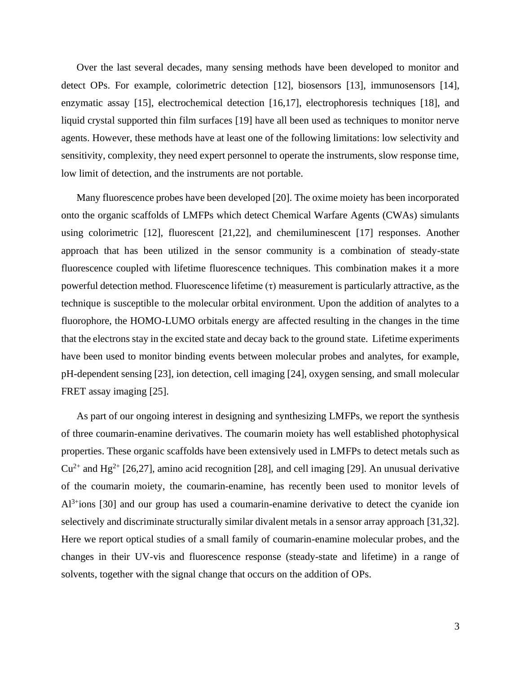Over the last several decades, many sensing methods have been developed to monitor and detect OPs. For example, colorimetric detection [12], biosensors [13], immunosensors [14], enzymatic assay [15], electrochemical detection [16,17], electrophoresis techniques [18], and liquid crystal supported thin film surfaces [19] have all been used as techniques to monitor nerve agents. However, these methods have at least one of the following limitations: low selectivity and sensitivity, complexity, they need expert personnel to operate the instruments, slow response time, low limit of detection, and the instruments are not portable.

Many fluorescence probes have been developed [20]. The oxime moiety has been incorporated onto the organic scaffolds of LMFPs which detect Chemical Warfare Agents (CWAs) simulants using colorimetric [12], fluorescent [21,22], and chemiluminescent [17] responses. Another approach that has been utilized in the sensor community is a combination of steady-state fluorescence coupled with lifetime fluorescence techniques. This combination makes it a more powerful detection method. Fluorescence lifetime (τ) measurement is particularly attractive, as the technique is susceptible to the molecular orbital environment. Upon the addition of analytes to a fluorophore, the HOMO-LUMO orbitals energy are affected resulting in the changes in the time that the electrons stay in the excited state and decay back to the ground state. Lifetime experiments have been used to monitor binding events between molecular probes and analytes, for example, pH-dependent sensing [23], ion detection, cell imaging [24], oxygen sensing, and small molecular FRET assay imaging [25].

As part of our ongoing interest in designing and synthesizing LMFPs, we report the synthesis of three coumarin-enamine derivatives. The coumarin moiety has well established photophysical properties. These organic scaffolds have been extensively used in LMFPs to detect metals such as  $Cu^{2+}$  and Hg<sup>2+</sup> [26,27], amino acid recognition [28], and cell imaging [29]. An unusual derivative of the coumarin moiety, the coumarin-enamine, has recently been used to monitor levels of Al<sup>3+</sup>ions [30] and our group has used a coumarin-enamine derivative to detect the cyanide ion selectively and discriminate structurally similar divalent metals in a sensor array approach [31,32]. Here we report optical studies of a small family of coumarin-enamine molecular probes, and the changes in their UV-vis and fluorescence response (steady-state and lifetime) in a range of solvents, together with the signal change that occurs on the addition of OPs.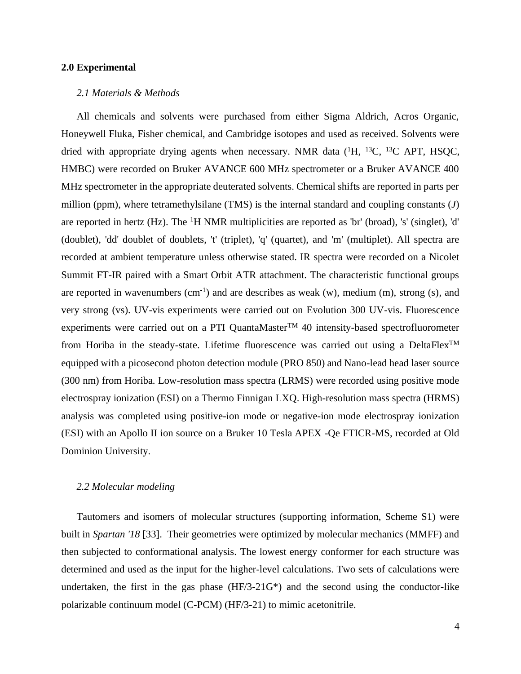## **2.0 Experimental**

#### *2.1 Materials & Methods*

All chemicals and solvents were purchased from either Sigma Aldrich, Acros Organic, Honeywell Fluka, Fisher chemical, and Cambridge isotopes and used as received. Solvents were dried with appropriate drying agents when necessary. NMR data  $(^1H, ^{13}C, ^{13}C$  APT, HSQC, HMBC) were recorded on Bruker AVANCE 600 MHz spectrometer or a Bruker AVANCE 400 MHz spectrometer in the appropriate deuterated solvents. Chemical shifts are reported in parts per million (ppm), where tetramethylsilane (TMS) is the internal standard and coupling constants (*J*) are reported in hertz (Hz). The <sup>1</sup>H NMR multiplicities are reported as 'br' (broad), 's' (singlet), 'd' (doublet), 'dd' doublet of doublets, 't' (triplet), 'q' (quartet), and 'm' (multiplet). All spectra are recorded at ambient temperature unless otherwise stated. IR spectra were recorded on a Nicolet Summit FT-IR paired with a Smart Orbit ATR attachment. The characteristic functional groups are reported in wavenumbers  $(cm<sup>-1</sup>)$  and are describes as weak  $(w)$ , medium  $(m)$ , strong  $(s)$ , and very strong (vs). UV-vis experiments were carried out on Evolution 300 UV-vis. Fluorescence experiments were carried out on a PTI QuantaMaster<sup>TM</sup> 40 intensity-based spectrofluorometer from Horiba in the steady-state. Lifetime fluorescence was carried out using a DeltaFlex<sup>™</sup> equipped with a picosecond photon detection module (PRO 850) and Nano-lead head laser source (300 nm) from Horiba. Low-resolution mass spectra (LRMS) were recorded using positive mode electrospray ionization (ESI) on a Thermo Finnigan LXQ. High-resolution mass spectra (HRMS) analysis was completed using positive-ion mode or negative-ion mode electrospray ionization (ESI) with an Apollo II ion source on a Bruker 10 Tesla APEX -Qe FTICR-MS, recorded at Old Dominion University.

## *2.2 Molecular modeling*

Tautomers and isomers of molecular structures (supporting information, Scheme S1) were built in *Spartan '18* [33]. Their geometries were optimized by molecular mechanics (MMFF) and then subjected to conformational analysis. The lowest energy conformer for each structure was determined and used as the input for the higher-level calculations. Two sets of calculations were undertaken, the first in the gas phase (HF/3-21G\*) and the second using the conductor-like polarizable continuum model (C-PCM) (HF/3-21) to mimic acetonitrile.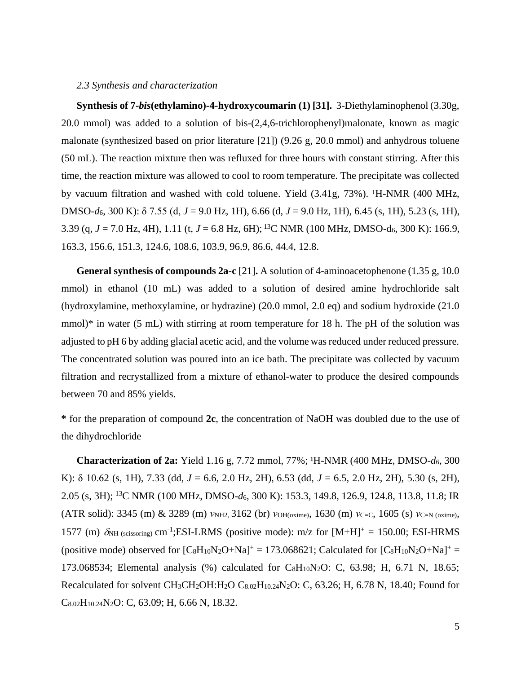#### *2.3 Synthesis and characterization*

**Synthesis of 7-***bis***(ethylamino)-4-hydroxycoumarin (1) [31].** 3-Diethylaminophenol (3.30g, 20.0 mmol) was added to a solution of bis-(2,4,6-trichlorophenyl)malonate, known as magic malonate (synthesized based on prior literature [21]) (9.26 g, 20.0 mmol) and anhydrous toluene (50 mL). The reaction mixture then was refluxed for three hours with constant stirring. After this time, the reaction mixture was allowed to cool to room temperature. The precipitate was collected by vacuum filtration and washed with cold toluene. Yield  $(3.41g, 73%)$ .  $H-NMR$   $(400 MHz,$ DMSO-*d*6, 300 K): δ 7.55 (d, *J* = 9.0 Hz, 1H), 6.66 (d, *J* = 9.0 Hz, 1H), 6.45 (s, 1H), 5.23 (s, 1H), 3.39 (q, *J* = 7.0 Hz, 4H), 1.11 (t, *J* = 6.8 Hz, 6H); <sup>13</sup>C NMR (100 MHz, DMSO-d6, 300 K): 166.9, 163.3, 156.6, 151.3, 124.6, 108.6, 103.9, 96.9, 86.6, 44.4, 12.8.

**General synthesis of compounds 2a-c** [21]**.** A solution of 4-aminoacetophenone (1.35 g, 10.0 mmol) in ethanol (10 mL) was added to a solution of desired amine hydrochloride salt (hydroxylamine, methoxylamine, or hydrazine) (20.0 mmol, 2.0 eq) and sodium hydroxide (21.0 mmol)<sup>\*</sup> in water (5 mL) with stirring at room temperature for 18 h. The pH of the solution was adjusted to pH 6 by adding glacial acetic acid, and the volume was reduced under reduced pressure. The concentrated solution was poured into an ice bath. The precipitate was collected by vacuum filtration and recrystallized from a mixture of ethanol-water to produce the desired compounds between 70 and 85% yields.

**\*** for the preparation of compound **2c**, the concentration of NaOH was doubled due to the use of the dihydrochloride

**Characterization of 2a:** Yield 1.16 g, 7.72 mmol, 77%; <sup>1</sup>H-NMR (400 MHz, DMSO- $d_6$ , 300 K): δ 10.62 (s, 1H), 7.33 (dd, *J* = 6.6, 2.0 Hz, 2H), 6.53 (dd, *J* = 6.5, 2.0 Hz, 2H), 5.30 (s, 2H), 2.05 (s, 3H); <sup>13</sup>C NMR (100 MHz, DMSO-*d*6, 300 K): 153.3, 149.8, 126.9, 124.8, 113.8, 11.8; IR (ATR solid): 3345 (m) & 3289 (m) *ν*NH2, 3162 (br) *ν*OH(oxime), 1630 (m) *ν*C=C, 1605 (s) *ν*C=N (oxime), 1577 (m)  $\delta_{NH}$  (scissoring) cm<sup>-1</sup>; ESI-LRMS (positive mode): m/z for [M+H]<sup>+</sup> = 150.00; ESI-HRMS (positive mode) observed for  $[C_8H_{10}N_2O+Na]^+=173.068621$ ; Calculated for  $[C_8H_{10}N_2O+Na]^+=$ 173.068534; Elemental analysis (%) calculated for  $C_8H_{10}N_2O$ : C, 63.98; H, 6.71 N, 18.65; Recalculated for solvent CH3CH2OH:H2O C8.02H10.24N2O: C, 63.26; H, 6.78 N, 18.40; Found for C8.02H10.24N2O: C, 63.09; H, 6.66 N, 18.32.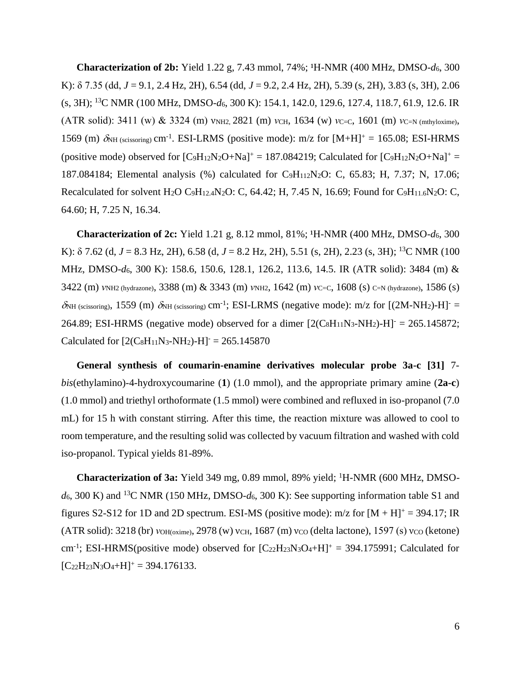**Characterization of 2b:** Yield 1.22 g, 7.43 mmol, 74%; <sup>1</sup>H-NMR (400 MHz, DMSO- $d_6$ , 300 K): δ 7.35 (dd, *J* = 9.1, 2.4 Hz, 2H), 6.54 (dd, *J* = 9.2, 2.4 Hz, 2H), 5.39 (s, 2H), 3.83 (s, 3H), 2.06 (s, 3H); <sup>13</sup>C NMR (100 MHz, DMSO-*d*6, 300 K): 154.1, 142.0, 129.6, 127.4, 118.7, 61.9, 12.6. IR (ATR solid): 3411 (w) & 3324 (m)  $v_{NH2}$ , 2821 (m) *ν*CH, 1634 (w) *ν*C=C, 1601 (m) *ν*C=N (mthyloxime), 1569 (m)  $\delta$ NH (scissoring) cm<sup>-1</sup>. ESI-LRMS (positive mode): m/z for [M+H]<sup>+</sup> = 165.08; ESI-HRMS (positive mode) observed for  $[C_9H_{12}N_2O+Na]^+=187.084219$ ; Calculated for  $[C_9H_{12}N_2O+Na]^+=$ 187.084184; Elemental analysis (%) calculated for C9H112N2O: C, 65.83; H, 7.37; N, 17.06; Recalculated for solvent H<sub>2</sub>O C<sub>9</sub>H<sub>12.4</sub>N<sub>2</sub>O: C, 64.42; H, 7.45 N, 16.69; Found for C<sub>9</sub>H<sub>11.6</sub>N<sub>2</sub>O: C, 64.60; H, 7.25 N, 16.34.

**Characterization of 2c:** Yield 1.21 g, 8.12 mmol, 81%; <sup>1</sup>H-NMR (400 MHz, DMSO- $d_6$ , 300 K): δ 7.62 (d, *J* = 8.3 Hz, 2H), 6.58 (d, *J* = 8.2 Hz, 2H), 5.51 (s, 2H), 2.23 (s, 3H); <sup>13</sup>C NMR (100 MHz, DMSO-*d*6, 300 K): 158.6, 150.6, 128.1, 126.2, 113.6, 14.5. IR (ATR solid): 3484 (m) & 3422 (m) *ν*NH<sub>2</sub> (hydrazone), 3388 (m) & 3343 (m) *ν*NH<sub>2</sub>, 1642 (m) *ν*C=C, 1608 (s) C=N (hydrazone), 1586 (s)  $\delta$ NH (scissoring), 1559 (m)  $\delta$ NH (scissoring) cm<sup>-1</sup>; ESI-LRMS (negative mode): m/z for [(2M-NH<sub>2</sub>)-H]<sup>-</sup> = 264.89; ESI-HRMS (negative mode) observed for a dimer  $[2(C_8H_{11}N_3-NH_2)-H]$ <sup>-</sup> = 265.145872; Calculated for  $[2(C_8H_{11}N_3-NH_2)-H] = 265.145870$ 

**General synthesis of coumarin-enamine derivatives molecular probe 3a-c [31]** 7 *bis*(ethylamino)-4-hydroxycoumarine (**1**) (1.0 mmol), and the appropriate primary amine (**2a-c**) (1.0 mmol) and triethyl orthoformate (1.5 mmol) were combined and refluxed in iso-propanol (7.0 mL) for 15 h with constant stirring. After this time, the reaction mixture was allowed to cool to room temperature, and the resulting solid was collected by vacuum filtration and washed with cold iso-propanol. Typical yields 81-89%.

**Characterization of 3a:** Yield 349 mg, 0.89 mmol, 89% yield; <sup>1</sup>H-NMR (600 MHz, DMSO*d*6, 300 K) and <sup>13</sup>C NMR (150 MHz, DMSO-*d*6, 300 K): See supporting information table S1 and figures S2-S12 for 1D and 2D spectrum. ESI-MS (positive mode):  $m/z$  for  $[M + H]^{+} = 394.17$ ; IR (ATR solid): 3218 (br) *ν*OH(oxime), 2978 (w) νCH, 1687 (m) νco (delta lactone), 1597 (s) νco (ketone) cm<sup>-1</sup>; ESI-HRMS(positive mode) observed for  $[C_{22}H_{23}N_3O_4+H]^+$  = 394.175991; Calculated for  $[C_{22}H_{23}N_3O_4+H]^+$  = 394.176133.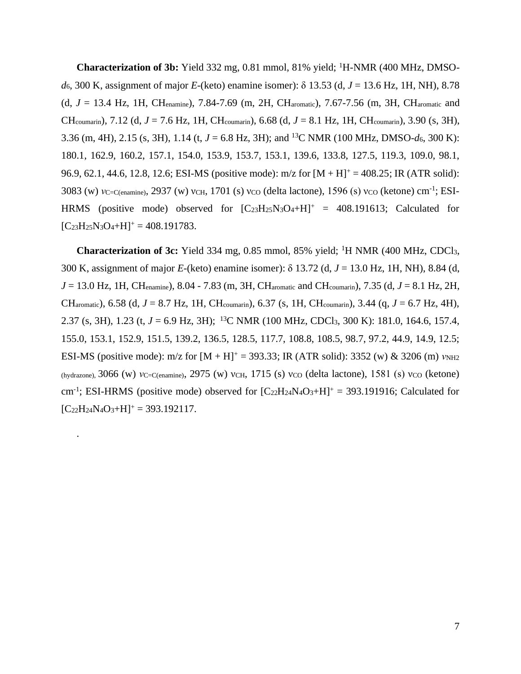**Characterization of 3b:** Yield 332 mg, 0.81 mmol, 81% yield; <sup>1</sup>H-NMR (400 MHz, DMSO*d*6, 300 K, assignment of major *E*-(keto) enamine isomer): δ 13.53 (d, *J* = 13.6 Hz, 1H, NH), 8.78 (d, *J* = 13.4 Hz, 1H, CHenamine), 7.84-7.69 (m, 2H, CHaromatic), 7.67-7.56 (m, 3H, CHaromatic and CHcoumarin), 7.12 (d, *J* = 7.6 Hz, 1H, CHcoumarin), 6.68 (d, *J* = 8.1 Hz, 1H, CHcoumarin), 3.90 (s, 3H), 3.36 (m, 4H), 2.15 (s, 3H), 1.14 (t, *J* = 6.8 Hz, 3H); and <sup>13</sup>C NMR (100 MHz, DMSO-*d*6, 300 K): 180.1, 162.9, 160.2, 157.1, 154.0, 153.9, 153.7, 153.1, 139.6, 133.8, 127.5, 119.3, 109.0, 98.1, 96.9, 62.1, 44.6, 12.8, 12.6; ESI-MS (positive mode):  $m/z$  for  $[M + H]$ <sup>+</sup> = 408.25; IR (ATR solid): 3083 (w) *ν*c=c(enamine), 2937 (w) νcH, 1701 (s) νco (delta lactone), 1596 (s) νco (ketone) cm<sup>-1</sup>; ESI-HRMS (positive mode) observed for  $[C_{23}H_{25}N_{3}O_4+H]^+ = 408.191613$ ; Calculated for  $[C_{23}H_{25}N_3O_4+H]^+ = 408.191783.$ 

**Characterization of 3c:** Yield 334 mg, 0.85 mmol, 85% yield; <sup>1</sup>H NMR (400 MHz, CDCl3, 300 K, assignment of major *E*-(keto) enamine isomer): δ 13.72 (d, *J* = 13.0 Hz, 1H, NH), 8.84 (d,  $J = 13.0$  Hz, 1H, CH<sub>enamine</sub>),  $8.04 - 7.83$  (m, 3H, CH<sub>aromatic</sub> and CH<sub>coumarin</sub>),  $7.35$  (d,  $J = 8.1$  Hz, 2H, CHaromatic), 6.58 (d, *J* = 8.7 Hz, 1H, CHcoumarin), 6.37 (s, 1H, CHcoumarin), 3.44 (q, *J* = 6.7 Hz, 4H), 2.37 (s, 3H), 1.23 (t, *J* = 6.9 Hz, 3H); <sup>13</sup>C NMR (100 MHz, CDCl<sub>3</sub>, 300 K): 181.0, 164.6, 157.4, 155.0, 153.1, 152.9, 151.5, 139.2, 136.5, 128.5, 117.7, 108.8, 108.5, 98.7, 97.2, 44.9, 14.9, 12.5; ESI-MS (positive mode): m/z for  $[M + H]$ <sup>+</sup> = 393.33; IR (ATR solid): 3352 (w) & 3206 (m) *v*<sub>NH2</sub> (hydrazone), 3066 (w) *ν*C=C(enamine), 2975 (w) νCH, 1715 (s) νco (delta lactone), 1581 (s) νco (ketone) cm<sup>-1</sup>; ESI-HRMS (positive mode) observed for  $[C_{22}H_{24}N_4O_3+H]^+$  = 393.191916; Calculated for  $[C_{22}H_{24}N_4O_3+H]^+$  = 393.192117.

.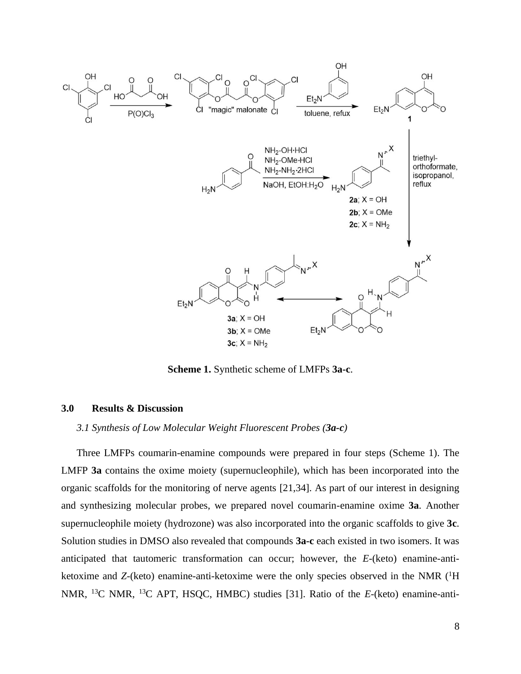

**Scheme 1.** Synthetic scheme of LMFPs **3a-c**.

## **3.0 Results & Discussion**

#### *3.1 Synthesis of Low Molecular Weight Fluorescent Probes (3a-c)*

Three LMFPs coumarin-enamine compounds were prepared in four steps (Scheme 1). The LMFP **3a** contains the oxime moiety (supernucleophile), which has been incorporated into the organic scaffolds for the monitoring of nerve agents [21,34]. As part of our interest in designing and synthesizing molecular probes, we prepared novel coumarin-enamine oxime **3a**. Another supernucleophile moiety (hydrozone) was also incorporated into the organic scaffolds to give **3c**. Solution studies in DMSO also revealed that compounds **3a-c** each existed in two isomers. It was anticipated that tautomeric transformation can occur; however, the *E*-(keto) enamine-antiketoxime and *Z*-(keto) enamine-anti-ketoxime were the only species observed in the NMR (<sup>1</sup>H) NMR, <sup>13</sup>C NMR, <sup>13</sup>C APT, HSQC, HMBC) studies [31]. Ratio of the *E*-(keto) enamine-anti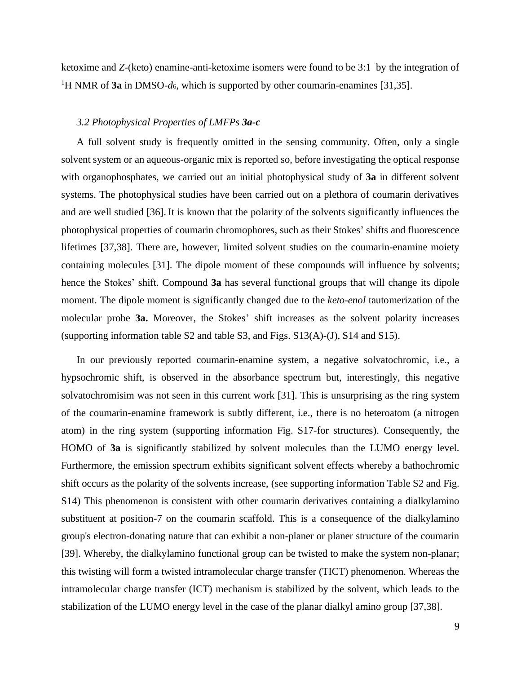ketoxime and *Z*-(keto) enamine-anti-ketoxime isomers were found to be 3:1 by the integration of <sup>1</sup>H NMR of **3a** in DMSO-*d*6, which is supported by other coumarin-enamines [31,35].

#### *3.2 Photophysical Properties of LMFPs 3a-c*

A full solvent study is frequently omitted in the sensing community. Often, only a single solvent system or an aqueous-organic mix is reported so, before investigating the optical response with organophosphates, we carried out an initial photophysical study of **3a** in different solvent systems. The photophysical studies have been carried out on a plethora of coumarin derivatives and are well studied [36]. It is known that the polarity of the solvents significantly influences the photophysical properties of coumarin chromophores, such as their Stokes' shifts and fluorescence lifetimes [37,38]. There are, however, limited solvent studies on the coumarin-enamine moiety containing molecules [31]. The dipole moment of these compounds will influence by solvents; hence the Stokes' shift. Compound **3a** has several functional groups that will change its dipole moment. The dipole moment is significantly changed due to the *keto-enol* tautomerization of the molecular probe **3a.** Moreover, the Stokes' shift increases as the solvent polarity increases (supporting information table S2 and table S3, and Figs. S13(A)-(J), S14 and S15).

In our previously reported coumarin-enamine system, a negative solvatochromic, i.e., a hypsochromic shift, is observed in the absorbance spectrum but, interestingly, this negative solvatochromisim was not seen in this current work [31]. This is unsurprising as the ring system of the coumarin-enamine framework is subtly different, i.e., there is no heteroatom (a nitrogen atom) in the ring system (supporting information Fig. S17-for structures). Consequently, the HOMO of **3a** is significantly stabilized by solvent molecules than the LUMO energy level. Furthermore, the emission spectrum exhibits significant solvent effects whereby a bathochromic shift occurs as the polarity of the solvents increase, (see supporting information Table S2 and Fig. S14) This phenomenon is consistent with other coumarin derivatives containing a dialkylamino substituent at position-7 on the coumarin scaffold. This is a consequence of the dialkylamino group's electron-donating nature that can exhibit a non-planer or planer structure of the coumarin [39]. Whereby, the dialkylamino functional group can be twisted to make the system non-planar; this twisting will form a twisted intramolecular charge transfer (TICT) phenomenon. Whereas the intramolecular charge transfer (ICT) mechanism is stabilized by the solvent, which leads to the stabilization of the LUMO energy level in the case of the planar dialkyl amino group [37,38].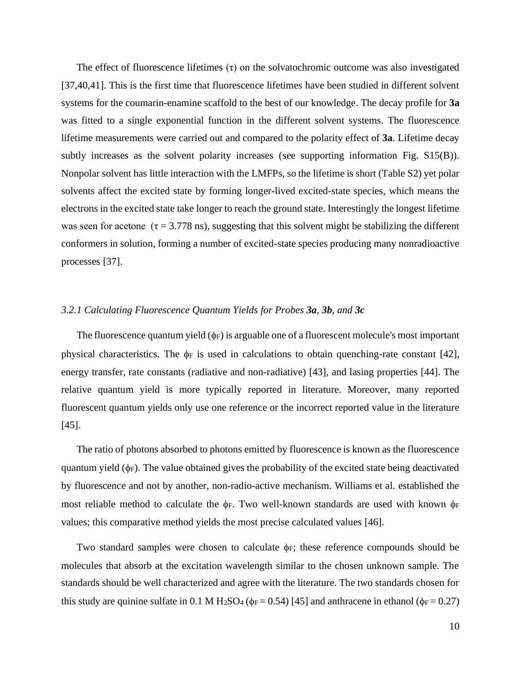The effect of fluorescence lifetimes  $(\tau)$  on the solvatochromic outcome was also investigated [37,40,41]. This is the first time that fluorescence lifetimes have been studied in different solvent systems for the coumarin-enamine scaffold to the best of our knowledge. The decay profile for **3a** was fitted to a single exponential function in the different solvent systems. The fluorescence lifetime measurements were carried out and compared to the polarity effect of **3a**. Lifetime decay subtly increases as the solvent polarity increases (see supporting information Fig. S15(B)). Nonpolar solvent has little interaction with the LMFPs, so the lifetime is short (Table S2) yet polar solvents affect the excited state by forming longer-lived excited-state species, which means the electrons in the excited state take longer to reach the ground state. Interestingly the longest lifetime was seen for acetone ( $\tau$  = 3.778 ns), suggesting that this solvent might be stabilizing the different conformers in solution, forming a number of excited-state species producing many nonradioactive processes [37].

## *3.2.1 Calculating Fluorescence Quantum Yields for Probes 3a, 3b, and 3c*

The fluorescence quantum yield  $(\phi_F)$  is arguable one of a fluorescent molecule's most important physical characteristics. The  $\phi$  is used in calculations to obtain quenching-rate constant [42], energy transfer, rate constants (radiative and non-radiative) [43], and lasing properties [44]. The relative quantum yield is more typically reported in literature. Moreover, many reported fluorescent quantum yields only use one reference or the incorrect reported value in the literature [45].

The ratio of photons absorbed to photons emitted by fluorescence is known as the fluorescence quantum yield  $(\phi_F)$ . The value obtained gives the probability of the excited state being deactivated by fluorescence and not by another, non-radio-active mechanism. Williams et al. established the most reliable method to calculate the  $\phi$ F. Two well-known standards are used with known  $\phi$ F values; this comparative method yields the most precise calculated values [46].

Two standard samples were chosen to calculate  $\phi$ <sub>F</sub>; these reference compounds should be molecules that absorb at the excitation wavelength similar to the chosen unknown sample. The standards should be well characterized and agree with the literature. The two standards chosen for this study are quinine sulfate in 0.1 M H<sub>2</sub>SO<sub>4</sub> ( $\phi$ <sub>F</sub> = 0.54) [45] and anthracene in ethanol ( $\phi$ <sub>F</sub> = 0.27)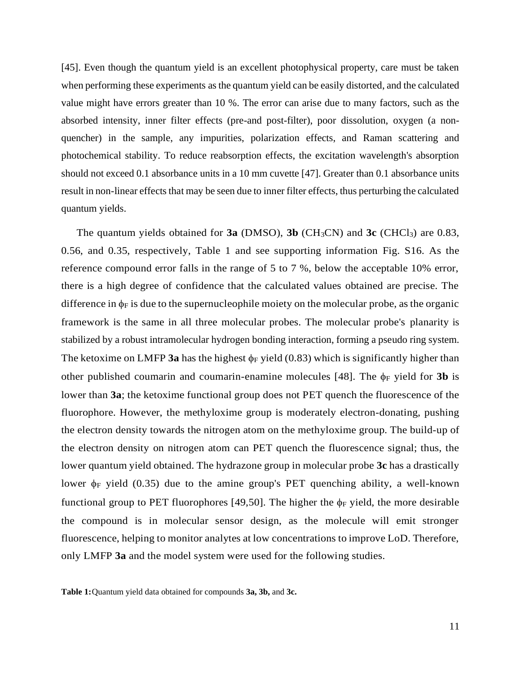[45]. Even though the quantum yield is an excellent photophysical property, care must be taken when performing these experiments as the quantum yield can be easily distorted, and the calculated value might have errors greater than 10 %. The error can arise due to many factors, such as the absorbed intensity, inner filter effects (pre-and post-filter), poor dissolution, oxygen (a nonquencher) in the sample, any impurities, polarization effects, and Raman scattering and photochemical stability. To reduce reabsorption effects, the excitation wavelength's absorption should not exceed 0.1 absorbance units in a 10 mm cuvette [47]. Greater than 0.1 absorbance units result in non-linear effects that may be seen due to inner filter effects, thus perturbing the calculated quantum yields.

The quantum yields obtained for  $3a$  (DMSO),  $3b$  (CH<sub>3</sub>CN) and  $3c$  (CHCl<sub>3</sub>) are 0.83, 0.56, and 0.35, respectively, Table 1 and see supporting information Fig. S16. As the reference compound error falls in the range of 5 to 7 %, below the acceptable 10% error, there is a high degree of confidence that the calculated values obtained are precise. The difference in  $\phi_F$  is due to the supernucleophile moiety on the molecular probe, as the organic framework is the same in all three molecular probes. The molecular probe's planarity is stabilized by a robust intramolecular hydrogen bonding interaction, forming a pseudo ring system. The ketoxime on LMFP 3a has the highest  $\phi_F$  yield (0.83) which is significantly higher than other published coumarin and coumarin-enamine molecules [48]. The  $\phi_F$  yield for **3b** is lower than **3a**; the ketoxime functional group does not PET quench the fluorescence of the fluorophore. However, the methyloxime group is moderately electron-donating, pushing the electron density towards the nitrogen atom on the methyloxime group. The build-up of the electron density on nitrogen atom can PET quench the fluorescence signal; thus, the lower quantum yield obtained. The hydrazone group in molecular probe **3c** has a drastically lower  $\phi$  yield (0.35) due to the amine group's PET quenching ability, a well-known functional group to PET fluorophores [49,50]. The higher the  $\phi_F$  yield, the more desirable the compound is in molecular sensor design, as the molecule will emit stronger fluorescence, helping to monitor analytes at low concentrations to improve LoD. Therefore, only LMFP **3a** and the model system were used for the following studies.

**Table 1:**Quantum yield data obtained for compounds **3a, 3b,** and **3c.**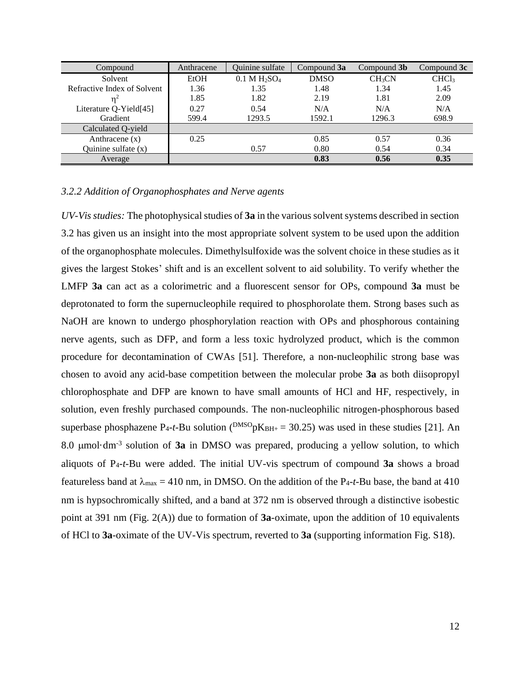| Compound                    | Anthracene | Quinine sulfate | Compound 3a | Compound 3b        | Compound 3c       |
|-----------------------------|------------|-----------------|-------------|--------------------|-------------------|
| Solvent                     | EtOH       | $0.1 M H_2SO_4$ | <b>DMSO</b> | CH <sub>3</sub> CN | CHCl <sub>3</sub> |
| Refractive Index of Solvent | 1.36       | 1.35            | 1.48        | 1.34               | 1.45              |
|                             | 1.85       | 1.82            | 2.19        | 1.81               | 2.09              |
| Literature Q-Yield[45]      | 0.27       | 0.54            | N/A         | N/A                | N/A               |
| Gradient                    | 599.4      | 1293.5          | 1592.1      | 1296.3             | 698.9             |
| Calculated Q-yield          |            |                 |             |                    |                   |
| Anthracene $(x)$            | 0.25       |                 | 0.85        | 0.57               | 0.36              |
| Quinine sulfate $(x)$       |            | 0.57            | 0.80        | 0.54               | 0.34              |
| Average                     |            |                 | 0.83        | 0.56               | 0.35              |

## *3.2.2 Addition of Organophosphates and Nerve agents*

*UV-Vis studies:* The photophysical studies of **3a** in the various solvent systems described in section 3.2 has given us an insight into the most appropriate solvent system to be used upon the addition of the organophosphate molecules. Dimethylsulfoxide was the solvent choice in these studies as it gives the largest Stokes' shift and is an excellent solvent to aid solubility. To verify whether the LMFP **3a** can act as a colorimetric and a fluorescent sensor for OPs, compound **3a** must be deprotonated to form the supernucleophile required to phosphorolate them. Strong bases such as NaOH are known to undergo phosphorylation reaction with OPs and phosphorous containing nerve agents, such as DFP, and form a less toxic hydrolyzed product, which is the common procedure for decontamination of CWAs [51]. Therefore, a non-nucleophilic strong base was chosen to avoid any acid-base competition between the molecular probe **3a** as both diisopropyl chlorophosphate and DFP are known to have small amounts of HCl and HF, respectively, in solution, even freshly purchased compounds. The non-nucleophilic nitrogen-phosphorous based superbase phosphazene  $P_{4}$ -*t*-Bu solution ( $\frac{DMSO}{pK_{BH+}}$  = 30.25) was used in these studies [21]. An 8.0 µmol·dm<sup>-3</sup> solution of 3a in DMSO was prepared, producing a yellow solution, to which aliquots of P4-*t*-Bu were added. The initial UV-vis spectrum of compound **3a** shows a broad featureless band at  $\lambda_{\text{max}} = 410$  nm, in DMSO. On the addition of the P<sub>4</sub>-*t*-Bu base, the band at 410 nm is hypsochromically shifted, and a band at 372 nm is observed through a distinctive isobestic point at 391 nm (Fig. 2(A)) due to formation of **3a**-oximate, upon the addition of 10 equivalents of HCl to **3a**-oximate of the UV-Vis spectrum, reverted to **3a** (supporting information Fig. S18).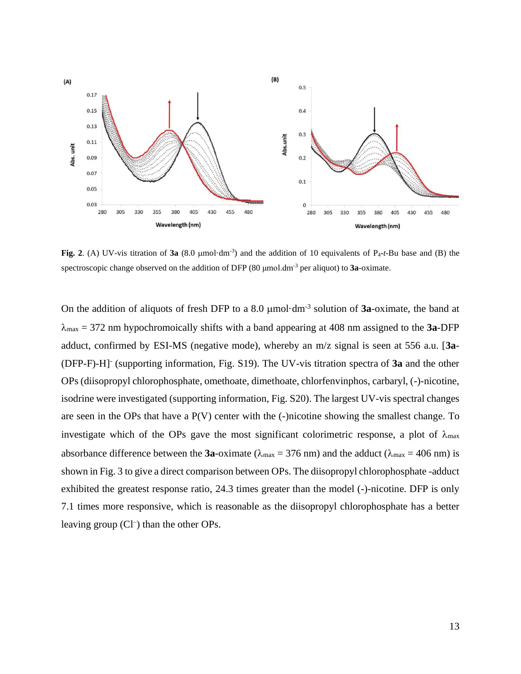

Fig. 2. (A) UV-vis titration of  $3a$  (8.0 µmol·dm<sup>-3</sup>) and the addition of 10 equivalents of P<sub>4</sub>-*t*-Bu base and (B) the spectroscopic change observed on the addition of DFP (80 μmol.dm-3 per aliquot) to **3a**-oximate.

On the addition of aliquots of fresh DFP to a 8.0  $\mu$ mol·dm<sup>-3</sup> solution of **3a**-oximate, the band at  $\lambda_{\text{max}}$  = 372 nm hypochromoically shifts with a band appearing at 408 nm assigned to the **3a**-DFP adduct, confirmed by ESI-MS (negative mode), whereby an m/z signal is seen at 556 a.u. [**3a**- (DFP-F)-H]- (supporting information, Fig. S19). The UV-vis titration spectra of **3a** and the other OPs (diisopropyl chlorophosphate, omethoate, dimethoate, chlorfenvinphos, carbaryl, (-)-nicotine, isodrine were investigated (supporting information, Fig. S20). The largest UV-vis spectral changes are seen in the OPs that have a P(V) center with the (-)nicotine showing the smallest change. To investigate which of the OPs gave the most significant colorimetric response, a plot of  $\lambda_{\text{max}}$ absorbance difference between the **3a**-oximate ( $\lambda_{\text{max}} = 376 \text{ nm}$ ) and the adduct ( $\lambda_{\text{max}} = 406 \text{ nm}$ ) is shown in Fig. 3 to give a direct comparison between OPs. The diisopropyl chlorophosphate -adduct exhibited the greatest response ratio, 24.3 times greater than the model (-)-nicotine. DFP is only 7.1 times more responsive, which is reasonable as the diisopropyl chlorophosphate has a better leaving group (Cl<sup>-</sup>) than the other OPs.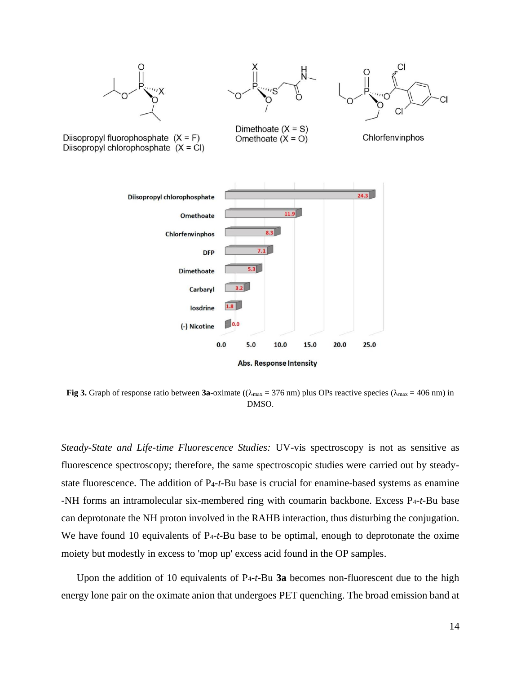

**Fig 3.** Graph of response ratio between **3a**-oximate (( $\lambda_{\text{max}} = 376$  nm) plus OPs reactive species ( $\lambda_{\text{max}} = 406$  nm) in DMSO.

*Steady-State and Life-time Fluorescence Studies:* UV-vis spectroscopy is not as sensitive as fluorescence spectroscopy; therefore, the same spectroscopic studies were carried out by steadystate fluorescence. The addition of P4-*t*-Bu base is crucial for enamine-based systems as enamine -NH forms an intramolecular six-membered ring with coumarin backbone. Excess P4-*t*-Bu base can deprotonate the NH proton involved in the RAHB interaction, thus disturbing the conjugation. We have found 10 equivalents of P4-*t*-Bu base to be optimal, enough to deprotonate the oxime moiety but modestly in excess to 'mop up' excess acid found in the OP samples.

Upon the addition of 10 equivalents of P4-*t*-Bu **3a** becomes non-fluorescent due to the high energy lone pair on the oximate anion that undergoes PET quenching. The broad emission band at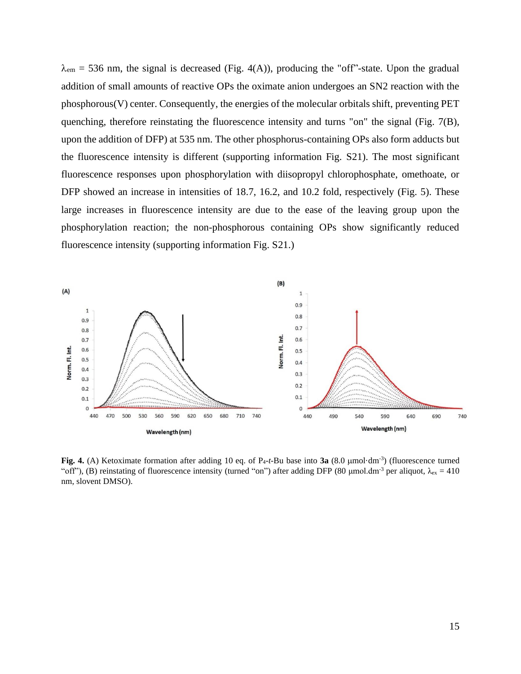$\lambda_{\rm em}$  = 536 nm, the signal is decreased (Fig. 4(A)), producing the "off"-state. Upon the gradual addition of small amounts of reactive OPs the oximate anion undergoes an SN2 reaction with the phosphorous(V) center. Consequently, the energies of the molecular orbitals shift, preventing PET quenching, therefore reinstating the fluorescence intensity and turns "on" the signal (Fig. 7(B), upon the addition of DFP) at 535 nm. The other phosphorus-containing OPs also form adducts but the fluorescence intensity is different (supporting information Fig. S21). The most significant fluorescence responses upon phosphorylation with diisopropyl chlorophosphate, omethoate, or DFP showed an increase in intensities of 18.7, 16.2, and 10.2 fold, respectively (Fig. 5). These large increases in fluorescence intensity are due to the ease of the leaving group upon the phosphorylation reaction; the non-phosphorous containing OPs show significantly reduced fluorescence intensity (supporting information Fig. S21.)



Fig. 4. (A) Ketoximate formation after adding 10 eq. of P<sub>4</sub>-*t*-Bu base into 3a  $(8.0 \text{ }\mu\text{mol}\cdot\text{dm}^{-3})$  (fluorescence turned "off"), (B) reinstating of fluorescence intensity (turned "on") after adding DFP (80 µmol.dm<sup>-3</sup> per aliquot,  $\lambda_{ex} = 410$ nm, slovent DMSO).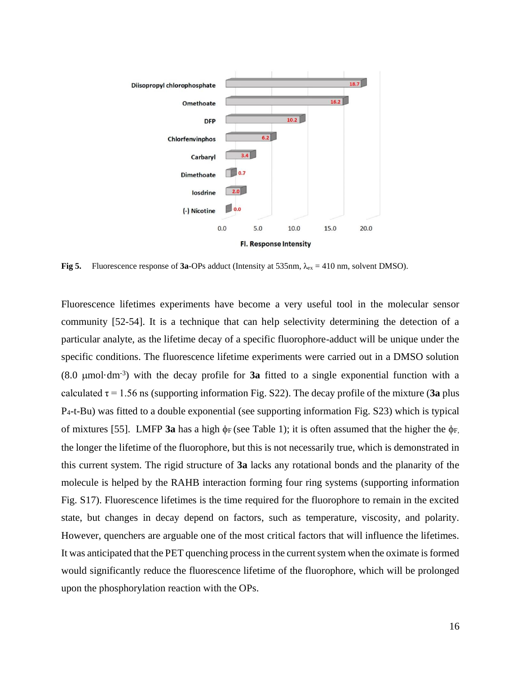

**Fig 5.** Fluorescence response of 3a-OPs adduct (Intensity at 535nm,  $\lambda_{ex} = 410$  nm, solvent DMSO).

Fluorescence lifetimes experiments have become a very useful tool in the molecular sensor community [52-54]. It is a technique that can help selectivity determining the detection of a particular analyte, as the lifetime decay of a specific fluorophore-adduct will be unique under the specific conditions. The fluorescence lifetime experiments were carried out in a DMSO solution  $(8.0 \text{ }\mu\text{mol}\cdot\text{dm}^{-3})$  with the decay profile for **3a** fitted to a single exponential function with a calculated  $\tau = 1.56$  ns (supporting information Fig. S22). The decay profile of the mixture (3a plus P4-t-Bu) was fitted to a double exponential (see supporting information Fig. S23) which is typical of mixtures [55]. LMFP **3a** has a high  $\phi$  (see Table 1); it is often assumed that the higher the  $\phi$ <sub>F,</sub> the longer the lifetime of the fluorophore, but this is not necessarily true, which is demonstrated in this current system. The rigid structure of **3a** lacks any rotational bonds and the planarity of the molecule is helped by the RAHB interaction forming four ring systems (supporting information Fig. S17). Fluorescence lifetimes is the time required for the fluorophore to remain in the excited state, but changes in decay depend on factors, such as temperature, viscosity, and polarity. However, quenchers are arguable one of the most critical factors that will influence the lifetimes. It was anticipated that the PET quenching process in the current system when the oximate isformed would significantly reduce the fluorescence lifetime of the fluorophore, which will be prolonged upon the phosphorylation reaction with the OPs.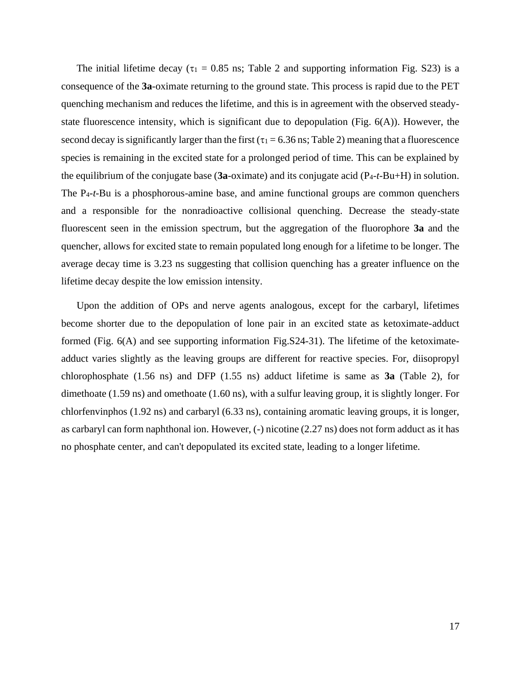The initial lifetime decay ( $\tau_1 = 0.85$  ns; Table 2 and supporting information Fig. S23) is a consequence of the **3a**-oximate returning to the ground state. This process is rapid due to the PET quenching mechanism and reduces the lifetime, and this is in agreement with the observed steadystate fluorescence intensity, which is significant due to depopulation (Fig. 6(A)). However, the second decay is significantly larger than the first ( $\tau_1 = 6.36$  ns; Table 2) meaning that a fluorescence species is remaining in the excited state for a prolonged period of time. This can be explained by the equilibrium of the conjugate base (**3a**-oximate) and its conjugate acid (P4-*t*-Bu+H) in solution. The P4-*t*-Bu is a phosphorous-amine base, and amine functional groups are common quenchers and a responsible for the nonradioactive collisional quenching. Decrease the steady-state fluorescent seen in the emission spectrum, but the aggregation of the fluorophore **3a** and the quencher, allows for excited state to remain populated long enough for a lifetime to be longer. The average decay time is 3.23 ns suggesting that collision quenching has a greater influence on the lifetime decay despite the low emission intensity.

Upon the addition of OPs and nerve agents analogous, except for the carbaryl, lifetimes become shorter due to the depopulation of lone pair in an excited state as ketoximate-adduct formed (Fig. 6(A) and see supporting information Fig.S24-31). The lifetime of the ketoximateadduct varies slightly as the leaving groups are different for reactive species. For, diisopropyl chlorophosphate (1.56 ns) and DFP (1.55 ns) adduct lifetime is same as **3a** (Table 2), for dimethoate (1.59 ns) and omethoate (1.60 ns), with a sulfur leaving group, it is slightly longer. For chlorfenvinphos (1.92 ns) and carbaryl (6.33 ns), containing aromatic leaving groups, it is longer, as carbaryl can form naphthonal ion. However, (-) nicotine (2.27 ns) does not form adduct as it has no phosphate center, and can't depopulated its excited state, leading to a longer lifetime.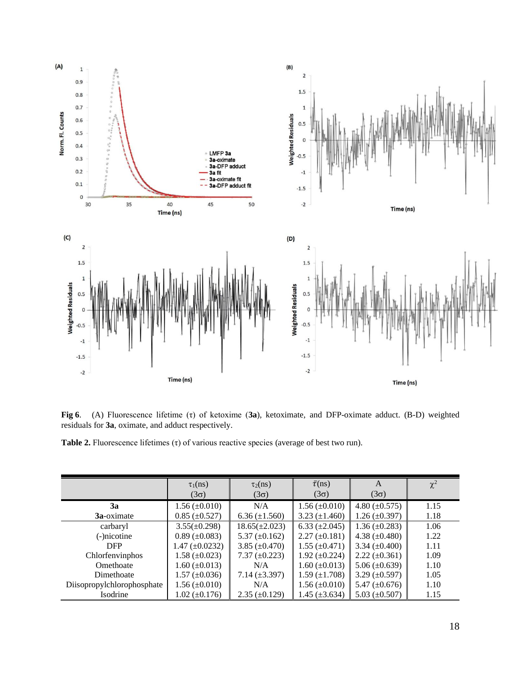

**Fig 6**. (A) Fluorescence lifetime (τ) of ketoxime (**3a**), ketoximate, and DFP-oximate adduct. (B-D) weighted residuals for **3a**, oximate, and adduct respectively.

**Table 2.** Fluorescence lifetimes (τ) of various reactive species (average of best two run).

|                            | $\tau_1(ns)$<br>$(3\sigma)$ | $\tau_2(ns)$<br>$(3\sigma)$     | $\bar{\tau}$ (ns)<br>$(3\sigma)$ | A<br>$(3\sigma)$     | $\chi^2$ |
|----------------------------|-----------------------------|---------------------------------|----------------------------------|----------------------|----------|
| 3a                         | $1.56 \ (\pm 0.010)$        | N/A                             | $1.56 \ (\pm 0.010)$             | 4.80 $(\pm 0.575)$   | 1.15     |
| <b>3a</b> -oximate         | $0.85 \ (\pm 0.527)$        | $6.36 \left( \pm 1.560 \right)$ | $3.23 \ (\pm 1.460)$             | $1.26 \ (\pm 0.397)$ | 1.18     |
| carbaryl                   | $3.55(\pm 0.298)$           | $18.65(\pm 2.023)$              | 6.33 $(\pm 2.045)$               | $1.36 \ (\pm 0.283)$ | 1.06     |
| (-)nicotine                | $0.89 \ (\pm 0.083)$        | 5.37 $(\pm 0.162)$              | $2.27 \ (\pm 0.181)$             | 4.38 $(\pm 0.480)$   | 1.22     |
| <b>DFP</b>                 | $1.47 \ (\pm 0.0232)$       | 3.85 $(\pm 0.470)$              | $1.55 \ (\pm 0.471)$             | 3.34 $(\pm 0.400)$   | 1.11     |
| Chlorfenvinphos            | $1.58 \ (\pm 0.023)$        | $7.37 \ (\pm 0.223)$            | 1.92 $(\pm 0.224)$               | $2.22 \ (\pm 0.361)$ | 1.09     |
| Omethoate                  | $1.60 \ (\pm 0.013)$        | N/A                             | $1.60 \ (\pm 0.013)$             | 5.06 $(\pm 0.639)$   | 1.10     |
| Dimethoate                 | $1.57 \ (\pm 0.036)$        | 7.14 $(\pm 3.397)$              | $1.59 \ (\pm 1.708)$             | $3.29 \ (\pm 0.597)$ | 1.05     |
| Diisopropylchlorophosphate | $1.56 \ (\pm 0.010)$        | N/A                             | $1.56 \ (\pm 0.010)$             | 5.47 $(\pm 0.676)$   | 1.10     |
| Isodrine                   | $1.02 \ (\pm 0.176)$        | $2.35 \ (\pm 0.129)$            | $1.45 \ (\pm 3.634)$             | 5.03 $(\pm 0.507)$   | 1.15     |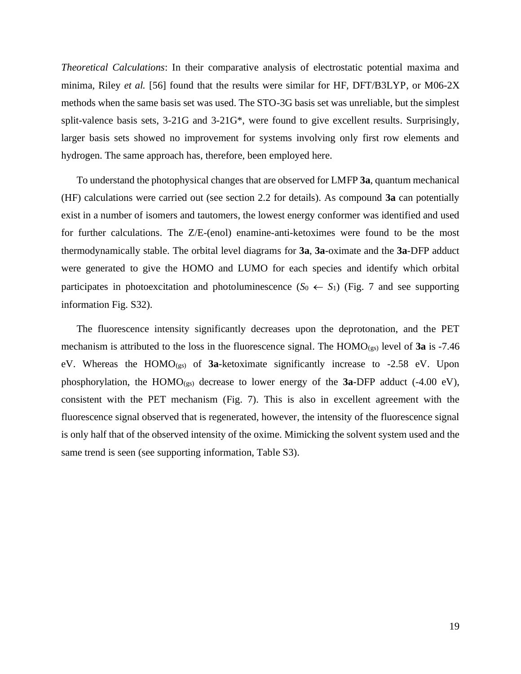*Theoretical Calculations*: In their comparative analysis of electrostatic potential maxima and minima, Riley *et al.* [56] found that the results were similar for HF, DFT/B3LYP, or M06-2X methods when the same basis set was used. The STO-3G basis set was unreliable, but the simplest split-valence basis sets, 3-21G and 3-21G\*, were found to give excellent results. Surprisingly, larger basis sets showed no improvement for systems involving only first row elements and hydrogen. The same approach has, therefore, been employed here.

To understand the photophysical changes that are observed for LMFP **3a**, quantum mechanical (HF) calculations were carried out (see section 2.2 for details). As compound **3a** can potentially exist in a number of isomers and tautomers, the lowest energy conformer was identified and used for further calculations. The Z/E-(enol) enamine-anti-ketoximes were found to be the most thermodynamically stable. The orbital level diagrams for **3a**, **3a**-oximate and the **3a**-DFP adduct were generated to give the HOMO and LUMO for each species and identify which orbital participates in photoexcitation and photoluminescence  $(S_0 \leftarrow S_1)$  (Fig. 7 and see supporting information Fig. S32).

The fluorescence intensity significantly decreases upon the deprotonation, and the PET mechanism is attributed to the loss in the fluorescence signal. The HOMO<sub>(gs)</sub> level of **3a** is -7.46 eV. Whereas the HOMO(gs) of **3a**-ketoximate significantly increase to -2.58 eV. Upon phosphorylation, the HOMO( $_{\text{gs}}$ ) decrease to lower energy of the **3a**-DFP adduct (-4.00 eV), consistent with the PET mechanism (Fig. 7). This is also in excellent agreement with the fluorescence signal observed that is regenerated, however, the intensity of the fluorescence signal is only half that of the observed intensity of the oxime. Mimicking the solvent system used and the same trend is seen (see supporting information, Table S3).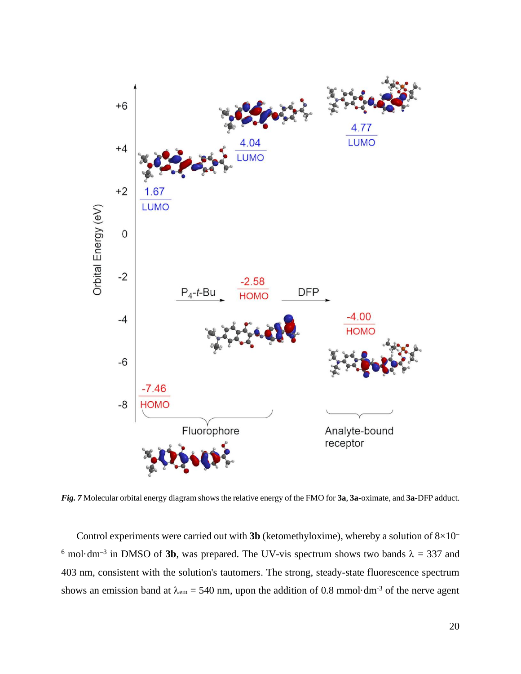

*Fig. 7* Molecular orbital energy diagram shows the relative energy of the FMO for **3a**, **3a**-oximate, and **3a**-DFP adduct.

Control experiments were carried out with **3b** (ketomethyloxime), whereby a solution of  $8 \times 10^{-1}$ <sup>6</sup> mol·dm<sup>-3</sup> in DMSO of **3b**, was prepared. The UV-vis spectrum shows two bands  $\lambda = 337$  and 403 nm, consistent with the solution's tautomers. The strong, steady-state fluorescence spectrum shows an emission band at  $\lambda_{em} = 540$  nm, upon the addition of 0.8 mmol·dm<sup>-3</sup> of the nerve agent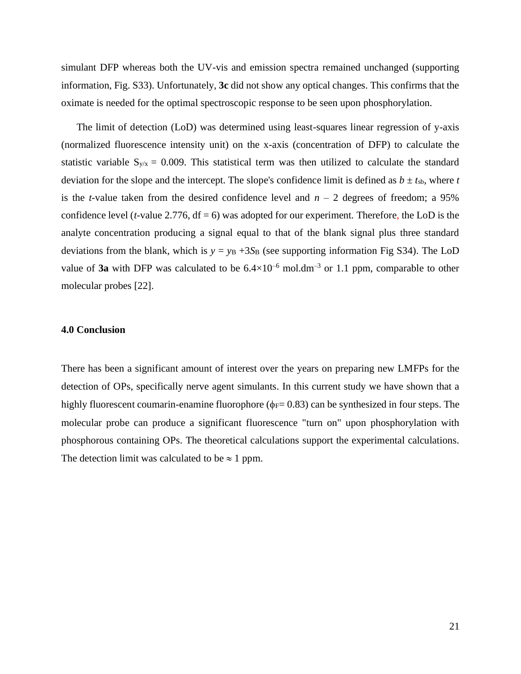simulant DFP whereas both the UV-vis and emission spectra remained unchanged (supporting information, Fig. S33). Unfortunately, **3c** did not show any optical changes. This confirms that the oximate is needed for the optimal spectroscopic response to be seen upon phosphorylation.

The limit of detection (LoD) was determined using least-squares linear regression of y-axis (normalized fluorescence intensity unit) on the x-axis (concentration of DFP) to calculate the statistic variable  $S_{y/x} = 0.009$ . This statistical term was then utilized to calculate the standard deviation for the slope and the intercept. The slope's confidence limit is defined as  $b \pm t_{sb}$ , where *t* is the *t*-value taken from the desired confidence level and  $n - 2$  degrees of freedom; a 95% confidence level ( $t$ -value 2.776,  $df = 6$ ) was adopted for our experiment. Therefore, the LoD is the analyte concentration producing a signal equal to that of the blank signal plus three standard deviations from the blank, which is  $y = y_B + 3S_B$  (see supporting information Fig S34). The LoD value of **3a** with DFP was calculated to be  $6.4 \times 10^{-6}$  mol.dm<sup>-3</sup> or 1.1 ppm, comparable to other molecular probes [22].

## **4.0 Conclusion**

There has been a significant amount of interest over the years on preparing new LMFPs for the detection of OPs, specifically nerve agent simulants. In this current study we have shown that a highly fluorescent coumarin-enamine fluorophore ( $\phi$ F= 0.83) can be synthesized in four steps. The molecular probe can produce a significant fluorescence "turn on" upon phosphorylation with phosphorous containing OPs. The theoretical calculations support the experimental calculations. The detection limit was calculated to be  $\approx 1$  ppm.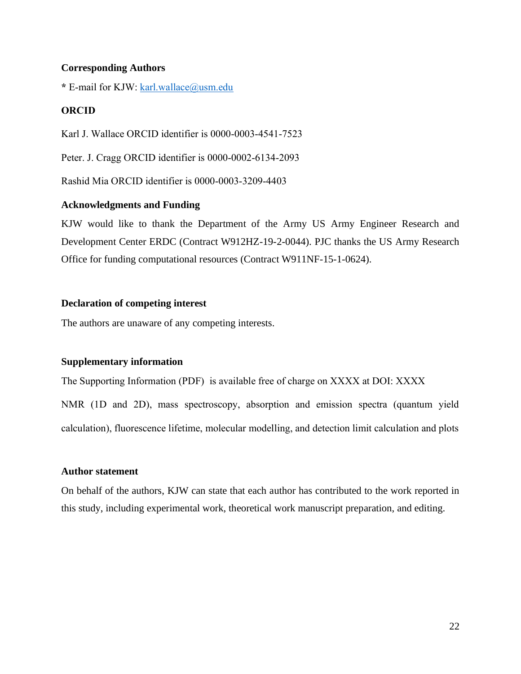## **Corresponding Authors**

**\*** E-mail for KJW: [karl.wallace@usm.edu](mailto:karl.wallace@usm.edu)

## **ORCID**

Karl J. Wallace ORCID identifier is 0000-0003-4541-7523

Peter. J. Cragg ORCID identifier is 0000-0002-6134-2093

Rashid Mia ORCID identifier is 0000-0003-3209-4403

## **Acknowledgments and Funding**

KJW would like to thank the Department of the Army US Army Engineer Research and Development Center ERDC (Contract W912HZ-19-2-0044). PJC thanks the US Army Research Office for funding computational resources (Contract W911NF-15-1-0624).

## **Declaration of competing interest**

The authors are unaware of any competing interests.

## **Supplementary information**

The Supporting Information (PDF) is available free of charge on XXXX at DOI: XXXX

NMR (1D and 2D), mass spectroscopy, absorption and emission spectra (quantum yield calculation), fluorescence lifetime, molecular modelling, and detection limit calculation and plots

## **Author statement**

On behalf of the authors, KJW can state that each author has contributed to the work reported in this study, including experimental work, theoretical work manuscript preparation, and editing.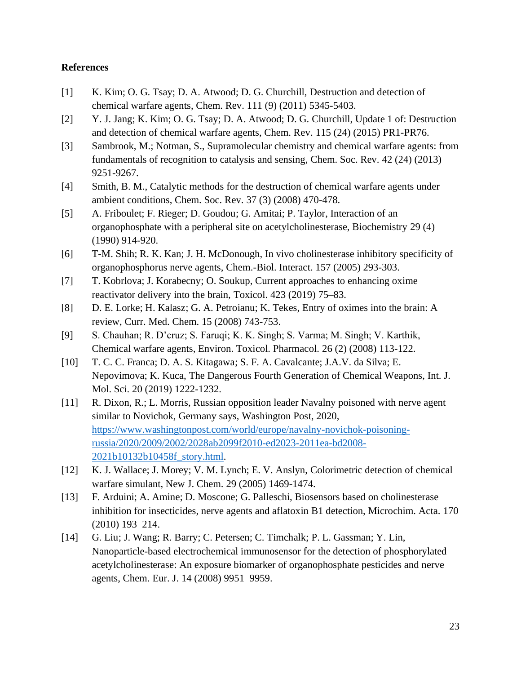## **References**

- [1] K. Kim; O. G. Tsay; D. A. Atwood; D. G. Churchill, Destruction and detection of chemical warfare agents, Chem. Rev. 111 (9) (2011) 5345-5403.
- [2] Y. J. Jang; K. Kim; O. G. Tsay; D. A. Atwood; D. G. Churchill, Update 1 of: Destruction and detection of chemical warfare agents, Chem. Rev. 115 (24) (2015) PR1-PR76.
- [3] Sambrook, M.; Notman, S., Supramolecular chemistry and chemical warfare agents: from fundamentals of recognition to catalysis and sensing, Chem. Soc. Rev. 42 (24) (2013) 9251-9267.
- [4] Smith, B. M., Catalytic methods for the destruction of chemical warfare agents under ambient conditions, Chem. Soc. Rev. 37 (3) (2008) 470-478.
- [5] A. Friboulet; F. Rieger; D. Goudou; G. Amitai; P. Taylor, Interaction of an organophosphate with a peripheral site on acetylcholinesterase, Biochemistry 29 (4) (1990) 914-920.
- [6] T-M. Shih; R. K. Kan; J. H. McDonough, In vivo cholinesterase inhibitory specificity of organophosphorus nerve agents, Chem.-Biol. Interact. 157 (2005) 293-303.
- [7] T. Kobrlova; J. Korabecny; O. Soukup, Current approaches to enhancing oxime reactivator delivery into the brain, Toxicol. 423 (2019) 75–83.
- [8] D. E. Lorke; H. Kalasz; G. A. Petroianu; K. Tekes, Entry of oximes into the brain: A review, Curr. Med. Chem. 15 (2008) 743-753.
- [9] S. Chauhan; R. D'cruz; S. Faruqi; K. K. Singh; S. Varma; M. Singh; V. Karthik, Chemical warfare agents, Environ. Toxicol. Pharmacol. 26 (2) (2008) 113-122.
- [10] T. C. C. Franca; D. A. S. Kitagawa; S. F. A. Cavalcante; J.A.V. da Silva; E. Nepovimova; K. Kuca, The Dangerous Fourth Generation of Chemical Weapons, Int. J. Mol. Sci. 20 (2019) 1222-1232.
- [11] R. Dixon, R.; L. Morris, Russian opposition leader Navalny poisoned with nerve agent similar to Novichok, Germany says, Washington Post, 2020, [https://www.washingtonpost.com/world/europe/navalny-novichok-poisoning](https://www.washingtonpost.com/world/europe/navalny-novichok-poisoning-russia/2020/2009/2002/2028ab2099f2010-ed2023-2011ea-bd2008-2021b10132b10458f_story.html)[russia/2020/2009/2002/2028ab2099f2010-ed2023-2011ea-bd2008-](https://www.washingtonpost.com/world/europe/navalny-novichok-poisoning-russia/2020/2009/2002/2028ab2099f2010-ed2023-2011ea-bd2008-2021b10132b10458f_story.html) [2021b10132b10458f\\_story.html.](https://www.washingtonpost.com/world/europe/navalny-novichok-poisoning-russia/2020/2009/2002/2028ab2099f2010-ed2023-2011ea-bd2008-2021b10132b10458f_story.html)
- [12] K. J. Wallace; J. Morey; V. M. Lynch; E. V. Anslyn, Colorimetric detection of chemical warfare simulant, New J. Chem. 29 (2005) 1469-1474.
- [13] F. Arduini; A. Amine; D. Moscone; G. Palleschi, Biosensors based on cholinesterase inhibition for insecticides, nerve agents and aflatoxin B1 detection, Microchim. Acta. 170 (2010) 193–214.
- [14] G. Liu; J. Wang; R. Barry; C. Petersen; C. Timchalk; P. L. Gassman; Y. Lin, Nanoparticle-based electrochemical immunosensor for the detection of phosphorylated acetylcholinesterase: An exposure biomarker of organophosphate pesticides and nerve agents, Chem. Eur. J. 14 (2008) 9951–9959.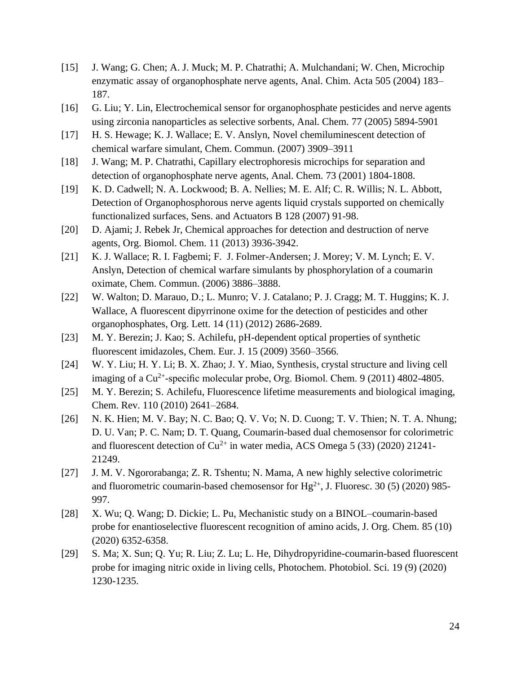- [15] J. Wang; G. Chen; A. J. Muck; M. P. Chatrathi; A. Mulchandani; W. Chen, Microchip enzymatic assay of organophosphate nerve agents, Anal. Chim. Acta 505 (2004) 183– 187.
- [16] G. Liu; Y. Lin, Electrochemical sensor for organophosphate pesticides and nerve agents using zirconia nanoparticles as selective sorbents, Anal. Chem. 77 (2005) 5894-5901
- [17] H. S. Hewage; K. J. Wallace; E. V. Anslyn, Novel chemiluminescent detection of chemical warfare simulant, Chem. Commun. (2007) 3909–3911
- [18] J. Wang; M. P. Chatrathi, Capillary electrophoresis microchips for separation and detection of organophosphate nerve agents, Anal. Chem. 73 (2001) 1804-1808.
- [19] K. D. Cadwell; N. A. Lockwood; B. A. Nellies; M. E. Alf; C. R. Willis; N. L. Abbott, Detection of Organophosphorous nerve agents liquid crystals supported on chemically functionalized surfaces, Sens. and Actuators B 128 (2007) 91-98.
- [20] D. Ajami; J. Rebek Jr, Chemical approaches for detection and destruction of nerve agents, Org. Biomol. Chem. 11 (2013) 3936-3942.
- [21] K. J. Wallace; R. I. Fagbemi; F. J. Folmer-Andersen; J. Morey; V. M. Lynch; E. V. Anslyn, Detection of chemical warfare simulants by phosphorylation of a coumarin oximate, Chem. Commun. (2006) 3886–3888.
- [22] W. Walton; D. Marauo, D.; L. Munro; V. J. Catalano; P. J. Cragg; M. T. Huggins; K. J. Wallace, A fluorescent dipyrrinone oxime for the detection of pesticides and other organophosphates, Org. Lett. 14 (11) (2012) 2686-2689.
- [23] M. Y. Berezin; J. Kao; S. Achilefu, pH-dependent optical properties of synthetic fluorescent imidazoles, Chem. Eur. J. 15 (2009) 3560–3566.
- [24] W. Y. Liu; H. Y. Li; B. X. Zhao; J. Y. Miao, Synthesis, crystal structure and living cell imaging of a  $Cu^{2+}$ -specific molecular probe, Org. Biomol. Chem. 9 (2011) 4802-4805.
- [25] M. Y. Berezin; S. Achilefu, Fluorescence lifetime measurements and biological imaging, Chem. Rev. 110 (2010) 2641–2684.
- [26] N. K. Hien; M. V. Bay; N. C. Bao; Q. V. Vo; N. D. Cuong; T. V. Thien; N. T. A. Nhung; D. U. Van; P. C. Nam; D. T. Quang, Coumarin-based dual chemosensor for colorimetric and fluorescent detection of  $Cu^{2+}$  in water media, ACS Omega 5 (33) (2020) 21241-21249.
- [27] J. M. V. Ngororabanga; Z. R. Tshentu; N. Mama, A new highly selective colorimetric and fluorometric coumarin-based chemosensor for  $Hg^{2+}$ , J. Fluoresc. 30 (5) (2020) 985-997.
- [28] X. Wu; Q. Wang; D. Dickie; L. Pu, Mechanistic study on a BINOL–coumarin-based probe for enantioselective fluorescent recognition of amino acids, J. Org. Chem. 85 (10) (2020) 6352-6358.
- [29] S. Ma; X. Sun; Q. Yu; R. Liu; Z. Lu; L. He, Dihydropyridine-coumarin-based fluorescent probe for imaging nitric oxide in living cells, Photochem. Photobiol. Sci. 19 (9) (2020) 1230-1235.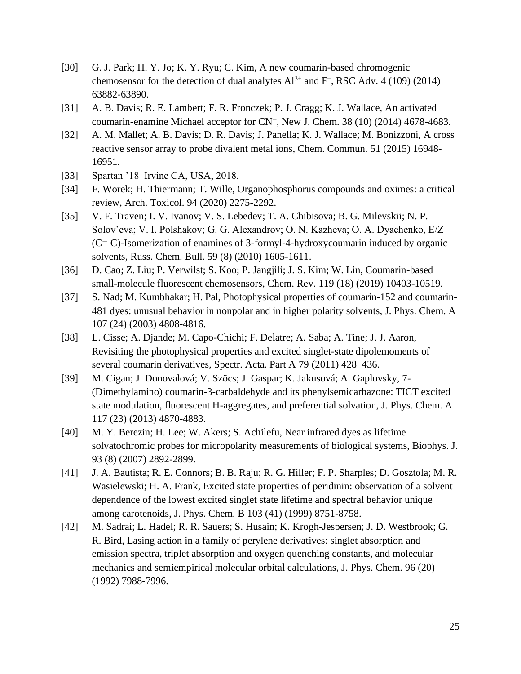- [30] G. J. Park; H. Y. Jo; K. Y. Ryu; C. Kim, A new coumarin-based chromogenic chemosensor for the detection of dual analytes  $Al^{3+}$  and F<sup>−</sup>, RSC Adv. 4 (109) (2014) 63882-63890.
- [31] A. B. Davis; R. E. Lambert; F. R. Fronczek; P. J. Cragg; K. J. Wallace, An activated coumarin-enamine Michael acceptor for CN<sup>−</sup> , New J. Chem. 38 (10) (2014) 4678-4683.
- [32] A. M. Mallet; A. B. Davis; D. R. Davis; J. Panella; K. J. Wallace; M. Bonizzoni, A cross reactive sensor array to probe divalent metal ions, Chem. Commun. 51 (2015) 16948- 16951.
- [33] Spartan '18 Irvine CA, USA, 2018.
- [34] F. Worek; H. Thiermann; T. Wille, Organophosphorus compounds and oximes: a critical review, Arch. Toxicol. 94 (2020) 2275-2292.
- [35] V. F. Traven; I. V. Ivanov; V. S. Lebedev; T. A. Chibisova; B. G. Milevskii; N. P. Solov'eva; V. I. Polshakov; G. G. Alexandrov; O. N. Kazheva; O. A. Dyachenko, E/Z (C= C)-Isomerization of enamines of 3-formyl-4-hydroxycoumarin induced by organic solvents, Russ. Chem. Bull. 59 (8) (2010) 1605-1611.
- [36] D. Cao; Z. Liu; P. Verwilst; S. Koo; P. Jangjili; J. S. Kim; W. Lin, Coumarin-based small-molecule fluorescent chemosensors, Chem. Rev. 119 (18) (2019) 10403-10519.
- [37] S. Nad; M. Kumbhakar; H. Pal, Photophysical properties of coumarin-152 and coumarin-481 dyes: unusual behavior in nonpolar and in higher polarity solvents, J. Phys. Chem. A 107 (24) (2003) 4808-4816.
- [38] L. Cisse; A. Djande; M. Capo-Chichi; F. Delatre; A. Saba; A. Tine; J. J. Aaron, Revisiting the photophysical properties and excited singlet-state dipolemoments of several coumarin derivatives, Spectr. Acta. Part A 79 (2011) 428–436.
- [39] M. Cigan; J. Donovalová; V. Szöcs; J. Gaspar; K. Jakusová; A. Gaplovsky, 7- (Dimethylamino) coumarin-3-carbaldehyde and its phenylsemicarbazone: TICT excited state modulation, fluorescent H-aggregates, and preferential solvation, J. Phys. Chem. A 117 (23) (2013) 4870-4883.
- [40] M. Y. Berezin; H. Lee; W. Akers; S. Achilefu, Near infrared dyes as lifetime solvatochromic probes for micropolarity measurements of biological systems, Biophys. J. 93 (8) (2007) 2892-2899.
- [41] J. A. Bautista; R. E. Connors; B. B. Raju; R. G. Hiller; F. P. Sharples; D. Gosztola; M. R. Wasielewski; H. A. Frank, Excited state properties of peridinin: observation of a solvent dependence of the lowest excited singlet state lifetime and spectral behavior unique among carotenoids, J. Phys. Chem. B 103 (41) (1999) 8751-8758.
- [42] M. Sadrai; L. Hadel; R. R. Sauers; S. Husain; K. Krogh-Jespersen; J. D. Westbrook; G. R. Bird, Lasing action in a family of perylene derivatives: singlet absorption and emission spectra, triplet absorption and oxygen quenching constants, and molecular mechanics and semiempirical molecular orbital calculations, J. Phys. Chem. 96 (20) (1992) 7988-7996.